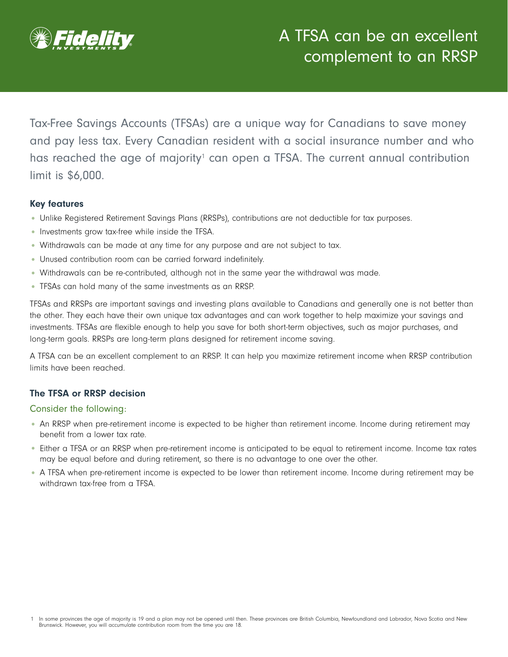

Tax-Free Savings Accounts (TFSAs) are a unique way for Canadians to save money and pay less tax. Every Canadian resident with a social insurance number and who has reached the age of majority<sup>1</sup> can open a TFSA. The current annual contribution limit is \$6,000.

### Key features

- Unlike Registered Retirement Savings Plans (RRSPs), contributions are not deductible for tax purposes.
- Investments grow tax-free while inside the TFSA.
- Withdrawals can be made at any time for any purpose and are not subject to tax.
- Unused contribution room can be carried forward indefinitely.
- Withdrawals can be re-contributed, although not in the same year the withdrawal was made.
- TFSAs can hold many of the same investments as an RRSP.

TFSAs and RRSPs are important savings and investing plans available to Canadians and generally one is not better than the other. They each have their own unique tax advantages and can work together to help maximize your savings and investments. TFSAs are flexible enough to help you save for both short-term objectives, such as major purchases, and long-term goals. RRSPs are long-term plans designed for retirement income saving.

A TFSA can be an excellent complement to an RRSP. It can help you maximize retirement income when RRSP contribution limits have been reached.

### The TFSA or RRSP decision

#### Consider the following:

- An RRSP when pre-retirement income is expected to be higher than retirement income. Income during retirement may benefit from a lower tax rate.
- Either a TFSA or an RRSP when pre-retirement income is anticipated to be equal to retirement income. Income tax rates may be equal before and during retirement, so there is no advantage to one over the other.
- A TFSA when pre-retirement income is expected to be lower than retirement income. Income during retirement may be withdrawn tax-free from a TFSA.